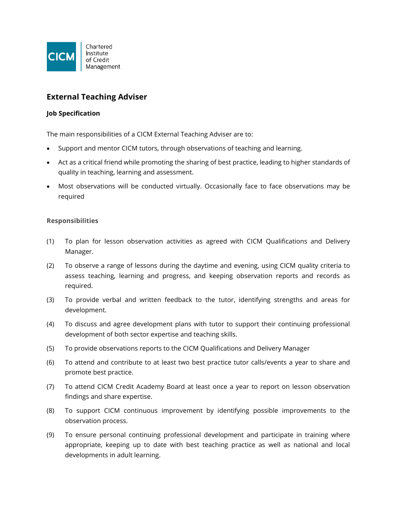

# **External Teaching Adviser**

#### **Job Specification**

The main responsibilities of a CICM External Teaching Adviser are to:

- Support and mentor CICM tutors, through observations of teaching and learning.
- Act as a critical friend while promoting the sharing of best practice, leading to higher standards of quality in teaching, learning and assessment.
- Most observations will be conducted virtually. Occasionally face to face observations may be required

### **Responsibilities**

- (1) To plan for lesson observation activities as agreed with CICM Qualifications and Delivery Manager.
- (2) To observe a range of lessons during the daytime and evening, using CICM quality criteria to assess teaching, learning and progress, and keeping observation reports and records as required.
- (3) To provide verbal and written feedback to the tutor, identifying strengths and areas for development.
- (4) To discuss and agree development plans with tutor to support their continuing professional development of both sector expertise and teaching skills.
- (5) To provide observations reports to the CICM Qualifications and Delivery Manager
- (6) To attend and contribute to at least two best practice tutor calls/events a year to share and promote best practice.
- (7) To attend CICM Credit Academy Board at least once a year to report on lesson observation findings and share expertise.
- (8) To support CICM continuous improvement by identifying possible improvements to the observation process.
- (9) To ensure personal continuing professional development and participate in training where appropriate, keeping up to date with best teaching practice as well as national and local developments in adult learning.